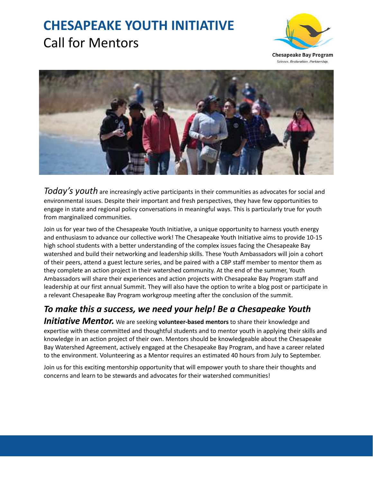# **CHESAPEAKE YOUTH INITIATIVE** Call for Mentors



**Chesapeake Bay Program** Science. Restoration. Partnership.



*Today's youth* are increasingly active participants in their communities as advocates for social and environmental issues. Despite their important and fresh perspectives, they have few opportunities to engage in state and regional policy conversations in meaningful ways. This is particularly true for youth from marginalized communities.

Join us for year two of the Chesapeake Youth Initiative, a unique opportunity to harness youth energy and enthusiasm to advance our collective work! The Chesapeake Youth Initiative aims to provide 10-15 high school students with a better understanding of the complex issues facing the Chesapeake Bay watershed and build their networking and leadership skills. These Youth Ambassadors will join a cohort of their peers, attend a guest lecture series, and be paired with a CBP staff member to mentor them as they complete an action project in their watershed community. At the end of the summer, Youth Ambassadors will share their experiences and action projects with Chesapeake Bay Program staff and leadership at our first annual Summit. They will also have the option to write a blog post or participate in a relevant Chesapeake Bay Program workgroup meeting after the conclusion of the summit.

### *To make this a success, we need your help! Be a Chesapeake Youth*

*Initiative Mentor.* We are seeking **volunteer-based mentors** to share their knowledge and expertise with these committed and thoughtful students and to mentor youth in applying their skills and knowledge in an action project of their own. Mentors should be knowledgeable about the Chesapeake Bay Watershed Agreement, actively engaged at the Chesapeake Bay Program, and have a career related to the environment. Volunteering as a Mentor requires an estimated 40 hours from July to September.

Join us for this exciting mentorship opportunity that will empower youth to share their thoughts and concerns and learn to be stewards and advocates for their watershed communities!